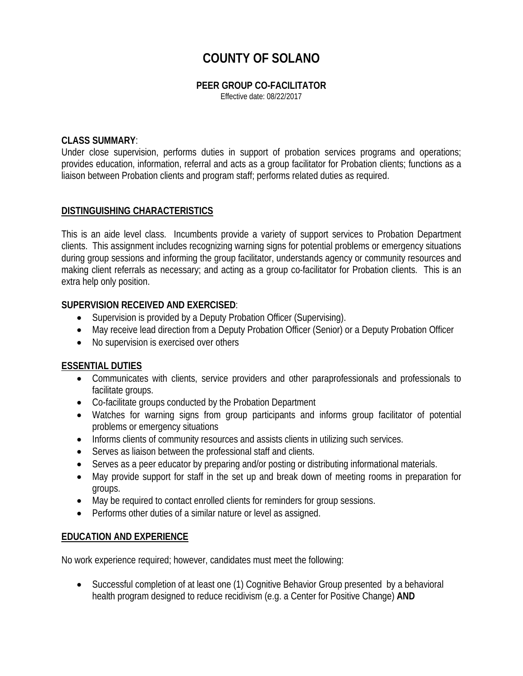# **COUNTY OF SOLANO**

### **PEER GROUP CO-FACILITATOR**

Effective date: 08/22/2017

### **CLASS SUMMARY**:

Under close supervision, performs duties in support of probation services programs and operations; provides education, information, referral and acts as a group facilitator for Probation clients; functions as a liaison between Probation clients and program staff; performs related duties as required.

## **DISTINGUISHING CHARACTERISTICS**

This is an aide level class. Incumbents provide a variety of support services to Probation Department clients. This assignment includes recognizing warning signs for potential problems or emergency situations during group sessions and informing the group facilitator, understands agency or community resources and making client referrals as necessary; and acting as a group co-facilitator for Probation clients. This is an extra help only position.

## **SUPERVISION RECEIVED AND EXERCISED**:

- Supervision is provided by a Deputy Probation Officer (Supervising).
- May receive lead direction from a Deputy Probation Officer (Senior) or a Deputy Probation Officer
- No supervision is exercised over others

## **ESSENTIAL DUTIES**

- Communicates with clients, service providers and other paraprofessionals and professionals to facilitate groups.
- Co-facilitate groups conducted by the Probation Department
- Watches for warning signs from group participants and informs group facilitator of potential problems or emergency situations
- Informs clients of community resources and assists clients in utilizing such services.
- Serves as liaison between the professional staff and clients.
- Serves as a peer educator by preparing and/or posting or distributing informational materials.
- May provide support for staff in the set up and break down of meeting rooms in preparation for groups.
- May be required to contact enrolled clients for reminders for group sessions.
- Performs other duties of a similar nature or level as assigned.

## **EDUCATION AND EXPERIENCE**

No work experience required; however, candidates must meet the following:

• Successful completion of at least one (1) Cognitive Behavior Group presented by a behavioral health program designed to reduce recidivism (e.g. a Center for Positive Change) **AND**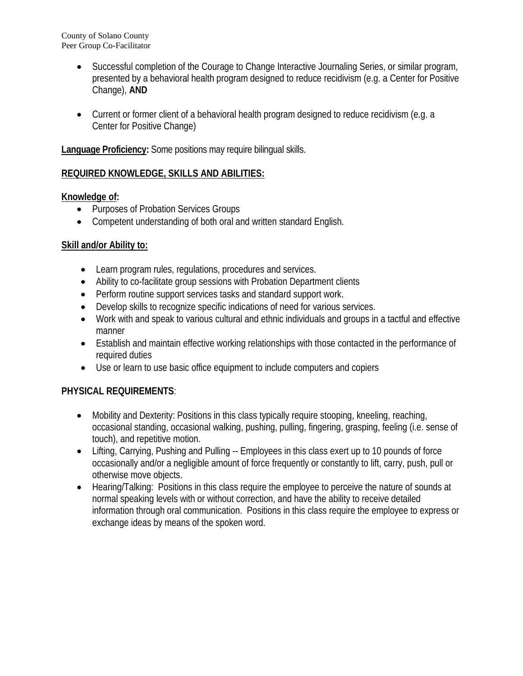County of Solano County Peer Group Co-Facilitator

- Successful completion of the Courage to Change Interactive Journaling Series, or similar program, presented by a behavioral health program designed to reduce recidivism (e.g. a Center for Positive Change), **AND**
- Current or former client of a behavioral health program designed to reduce recidivism (e.g. a Center for Positive Change)

**Language Proficiency:** Some positions may require bilingual skills.

# **REQUIRED KNOWLEDGE, SKILLS AND ABILITIES:**

## **Knowledge of:**

- Purposes of Probation Services Groups
- Competent understanding of both oral and written standard English.

# **Skill and/or Ability to:**

- Learn program rules, regulations, procedures and services.
- Ability to co-facilitate group sessions with Probation Department clients
- Perform routine support services tasks and standard support work.
- Develop skills to recognize specific indications of need for various services.
- Work with and speak to various cultural and ethnic individuals and groups in a tactful and effective manner
- Establish and maintain effective working relationships with those contacted in the performance of required duties
- Use or learn to use basic office equipment to include computers and copiers

# **PHYSICAL REQUIREMENTS**:

- Mobility and Dexterity: Positions in this class typically require stooping, kneeling, reaching, occasional standing, occasional walking, pushing, pulling, fingering, grasping, feeling (i.e. sense of touch), and repetitive motion.
- Lifting, Carrying, Pushing and Pulling -- Employees in this class exert up to 10 pounds of force occasionally and/or a negligible amount of force frequently or constantly to lift, carry, push, pull or otherwise move objects.
- Hearing/Talking: Positions in this class require the employee to perceive the nature of sounds at normal speaking levels with or without correction, and have the ability to receive detailed information through oral communication. Positions in this class require the employee to express or exchange ideas by means of the spoken word.